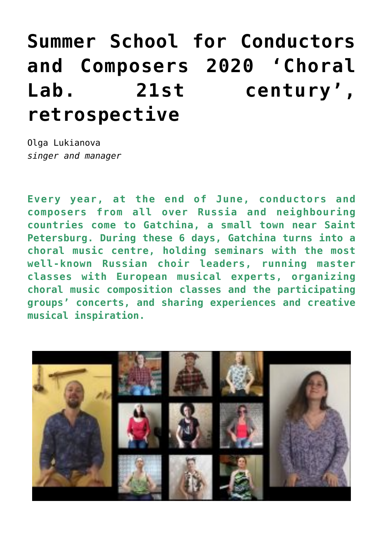## **[Summer School for Conductors](http://icb.ifcm.net/summer-school-for-conductors-and-composers-2020-choral-lab-21st-century-retrospective/) [and Composers 2020 'Choral](http://icb.ifcm.net/summer-school-for-conductors-and-composers-2020-choral-lab-21st-century-retrospective/) [Lab. 21st century',](http://icb.ifcm.net/summer-school-for-conductors-and-composers-2020-choral-lab-21st-century-retrospective/) [retrospective](http://icb.ifcm.net/summer-school-for-conductors-and-composers-2020-choral-lab-21st-century-retrospective/)**

Olga Lukianova *singer and manager*

**Every year, at the end of June, conductors and composers from all over Russia and neighbouring countries come to Gatchina, a small town near Saint Petersburg. During these 6 days, Gatchina turns into a choral music centre, holding seminars with the most well-known Russian choir leaders, running master classes with European musical experts, organizing choral music composition classes and the participating groups' concerts, and sharing experiences and creative musical inspiration.**

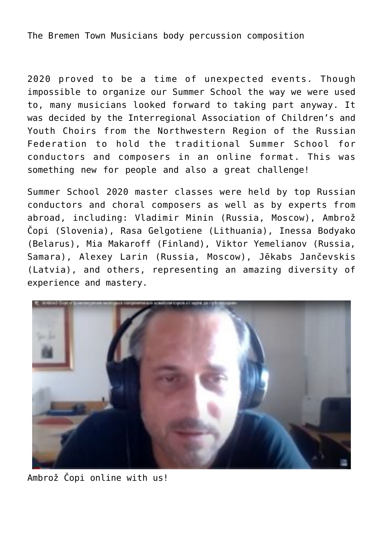The Bremen Town Musicians body percussion composition

2020 proved to be a time of unexpected events. Though impossible to organize our Summer School the way we were used to, many musicians looked forward to taking part anyway. It was decided by the Interregional Association of Children's and Youth Choirs from the Northwestern Region of the Russian Federation to hold the traditional Summer School for conductors and composers in an online format. This was something new for people and also a great challenge!

Summer School 2020 master classes were held by top Russian conductors and choral composers as well as by experts from abroad, including: Vladimir Minin (Russia, Moscow), Ambrož Čopi (Slovenia), Rasa Gelgotiene (Lithuania), Inessa Bodyako (Belarus), Mia Makaroff (Finland), Viktor Yemelianov (Russia, Samara), Alexey Larin (Russia, Moscow), Jēkabs Jančevskis (Latvia), and others, representing an amazing diversity of experience and mastery.



Ambrož Čopi online with us!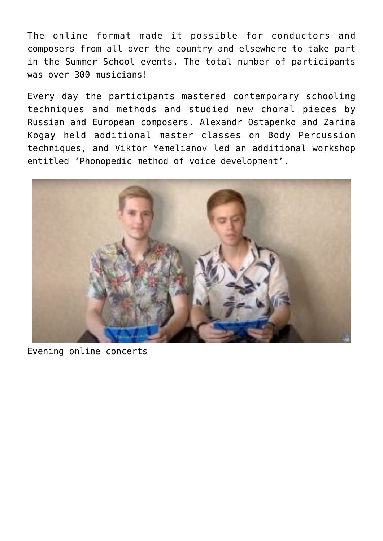The online format made it possible for conductors and composers from all over the country and elsewhere to take part in the Summer School events. The total number of participants was over 300 musicians!

Every day the participants mastered contemporary schooling techniques and methods and studied new choral pieces by Russian and European composers. Alexandr Ostapenko and Zarina Kogay held additional master classes on Body Percussion techniques, and Viktor Yemelianov led an additional workshop entitled 'Phonopedic method of voice development'.



Evening online concerts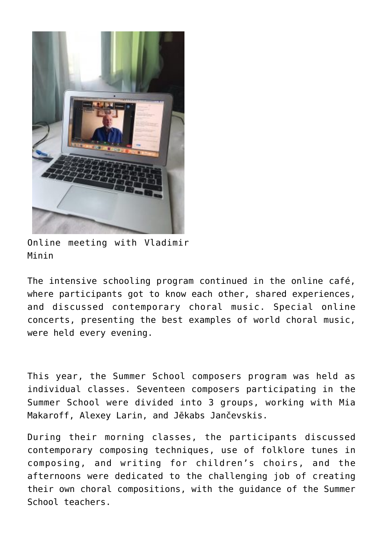

Online meeting with Vladimir Minin

The intensive schooling program continued in the online café, where participants got to know each other, shared experiences, and discussed contemporary choral music. Special online concerts, presenting the best examples of world choral music, were held every evening.

This year, the Summer School composers program was held as individual classes. Seventeen composers participating in the Summer School were divided into 3 groups, working with Mia Makaroff, Alexey Larin, and Jēkabs Jančevskis.

During their morning classes, the participants discussed contemporary composing techniques, use of folklore tunes in composing, and writing for children's choirs, and the afternoons were dedicated to the challenging job of creating their own choral compositions, with the guidance of the Summer School teachers.